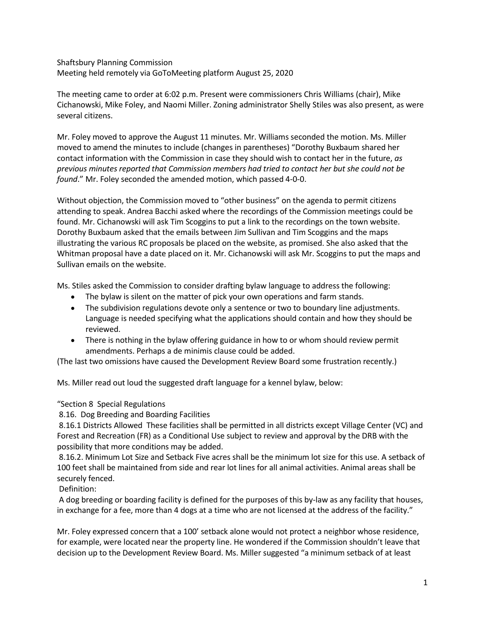Shaftsbury Planning Commission Meeting held remotely via GoToMeeting platform August 25, 2020

The meeting came to order at 6:02 p.m. Present were commissioners Chris Williams (chair), Mike Cichanowski, Mike Foley, and Naomi Miller. Zoning administrator Shelly Stiles was also present, as were several citizens.

Mr. Foley moved to approve the August 11 minutes. Mr. Williams seconded the motion. Ms. Miller moved to amend the minutes to include (changes in parentheses) "Dorothy Buxbaum shared her contact information with the Commission in case they should wish to contact her in the future, *as previous minutes reported that Commission members had tried to contact her but she could not be found*." Mr. Foley seconded the amended motion, which passed 4-0-0.

Without objection, the Commission moved to "other business" on the agenda to permit citizens attending to speak. Andrea Bacchi asked where the recordings of the Commission meetings could be found. Mr. Cichanowski will ask Tim Scoggins to put a link to the recordings on the town website. Dorothy Buxbaum asked that the emails between Jim Sullivan and Tim Scoggins and the maps illustrating the various RC proposals be placed on the website, as promised. She also asked that the Whitman proposal have a date placed on it. Mr. Cichanowski will ask Mr. Scoggins to put the maps and Sullivan emails on the website.

Ms. Stiles asked the Commission to consider drafting bylaw language to address the following:

- The bylaw is silent on the matter of pick your own operations and farm stands.
- The subdivision regulations devote only a sentence or two to boundary line adjustments. Language is needed specifying what the applications should contain and how they should be reviewed.
- There is nothing in the bylaw offering guidance in how to or whom should review permit amendments. Perhaps a de minimis clause could be added.

(The last two omissions have caused the Development Review Board some frustration recently.)

Ms. Miller read out loud the suggested draft language for a kennel bylaw, below:

"Section 8 Special Regulations

8.16. Dog Breeding and Boarding Facilities

8.16.1 Districts Allowed These facilities shall be permitted in all districts except Village Center (VC) and Forest and Recreation (FR) as a Conditional Use subject to review and approval by the DRB with the possibility that more conditions may be added.

8.16.2. Minimum Lot Size and Setback Five acres shall be the minimum lot size for this use. A setback of 100 feet shall be maintained from side and rear lot lines for all animal activities. Animal areas shall be securely fenced.

Definition:

A dog breeding or boarding facility is defined for the purposes of this by-law as any facility that houses, in exchange for a fee, more than 4 dogs at a time who are not licensed at the address of the facility."

Mr. Foley expressed concern that a 100' setback alone would not protect a neighbor whose residence, for example, were located near the property line. He wondered if the Commission shouldn't leave that decision up to the Development Review Board. Ms. Miller suggested "a minimum setback of at least